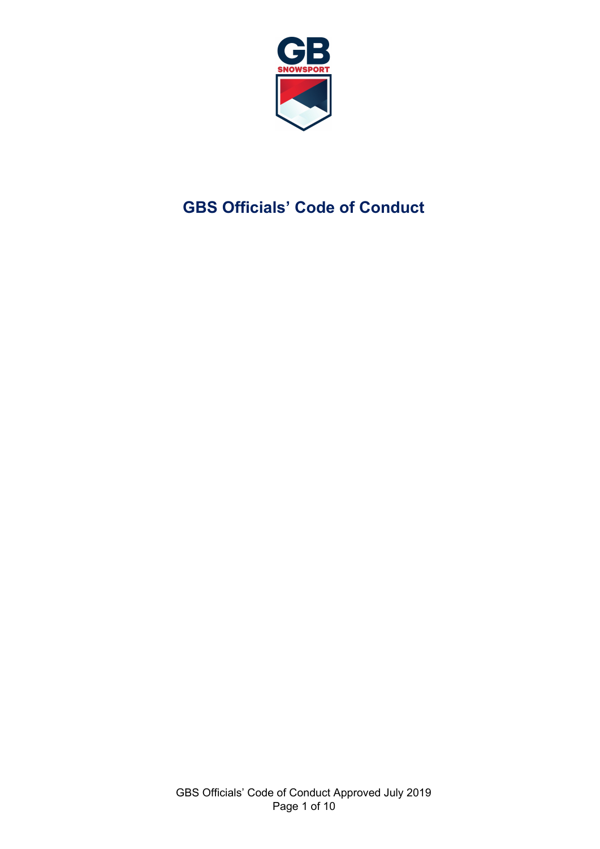

# **GBS Officials' Code of Conduct**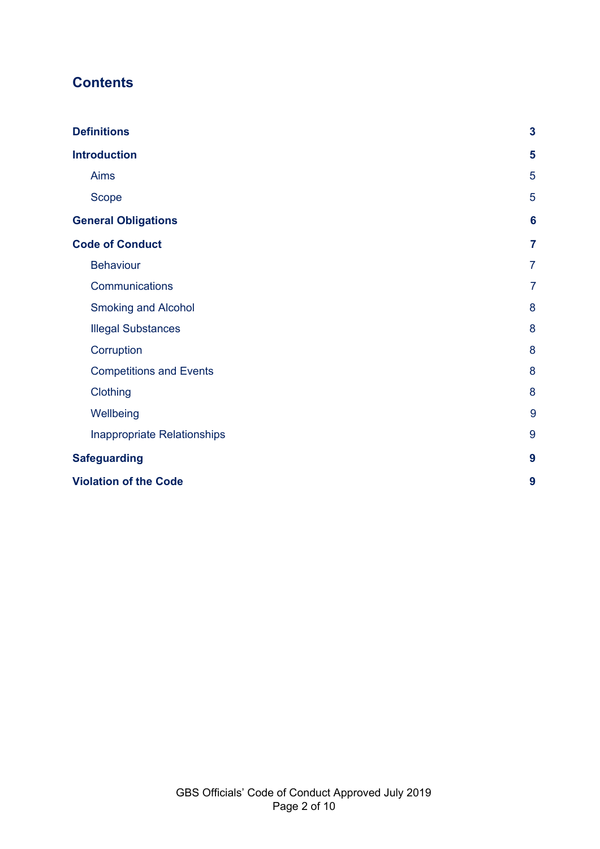# **Contents**

| <b>Definitions</b>             | 3              |
|--------------------------------|----------------|
| <b>Introduction</b>            | 5              |
| Aims                           | 5              |
| <b>Scope</b>                   | 5              |
| <b>General Obligations</b>     | 6              |
| <b>Code of Conduct</b>         | $\overline{7}$ |
| <b>Behaviour</b>               | $\overline{7}$ |
| Communications                 | $\overline{7}$ |
| <b>Smoking and Alcohol</b>     | 8              |
| <b>Illegal Substances</b>      | 8              |
| Corruption                     | 8              |
| <b>Competitions and Events</b> | 8              |
| Clothing                       | 8              |
| Wellbeing                      | 9              |
| Inappropriate Relationships    | 9              |
| <b>Safeguarding</b>            | 9              |
| <b>Violation of the Code</b>   | 9              |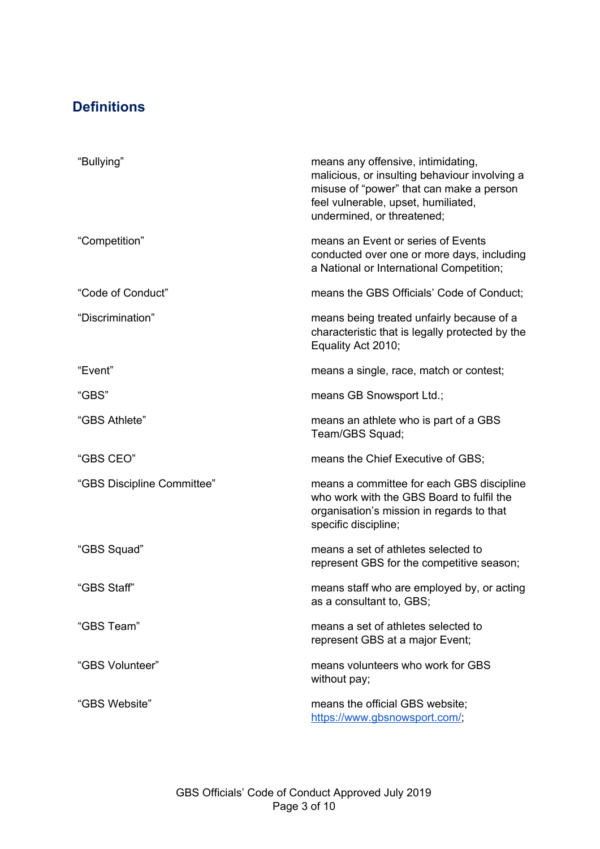# <span id="page-2-0"></span>**Definitions**

| "Bullying"                 | means any offensive, intimidating,<br>malicious, or insulting behaviour involving a<br>misuse of "power" that can make a person<br>feel vulnerable, upset, humiliated,<br>undermined, or threatened; |
|----------------------------|------------------------------------------------------------------------------------------------------------------------------------------------------------------------------------------------------|
| "Competition"              | means an Event or series of Events<br>conducted over one or more days, including<br>a National or International Competition;                                                                         |
| "Code of Conduct"          | means the GBS Officials' Code of Conduct;                                                                                                                                                            |
| "Discrimination"           | means being treated unfairly because of a<br>characteristic that is legally protected by the<br>Equality Act 2010;                                                                                   |
| "Event"                    | means a single, race, match or contest;                                                                                                                                                              |
| "GBS"                      | means GB Snowsport Ltd.;                                                                                                                                                                             |
| "GBS Athlete"              | means an athlete who is part of a GBS<br>Team/GBS Squad;                                                                                                                                             |
| "GBS CEO"                  | means the Chief Executive of GBS;                                                                                                                                                                    |
| "GBS Discipline Committee" | means a committee for each GBS discipline<br>who work with the GBS Board to fulfil the<br>organisation's mission in regards to that<br>specific discipline;                                          |
| "GBS Squad"                | means a set of athletes selected to<br>represent GBS for the competitive season;                                                                                                                     |
| "GBS Staff"                | means staff who are employed by, or acting<br>as a consultant to, GBS;                                                                                                                               |
| "GBS Team"                 | means a set of athletes selected to<br>represent GBS at a major Event;                                                                                                                               |
| "GBS Volunteer"            | means volunteers who work for GBS<br>without pay;                                                                                                                                                    |
| "GBS Website"              | means the official GBS website;<br>https://www.gbsnowsport.com/;                                                                                                                                     |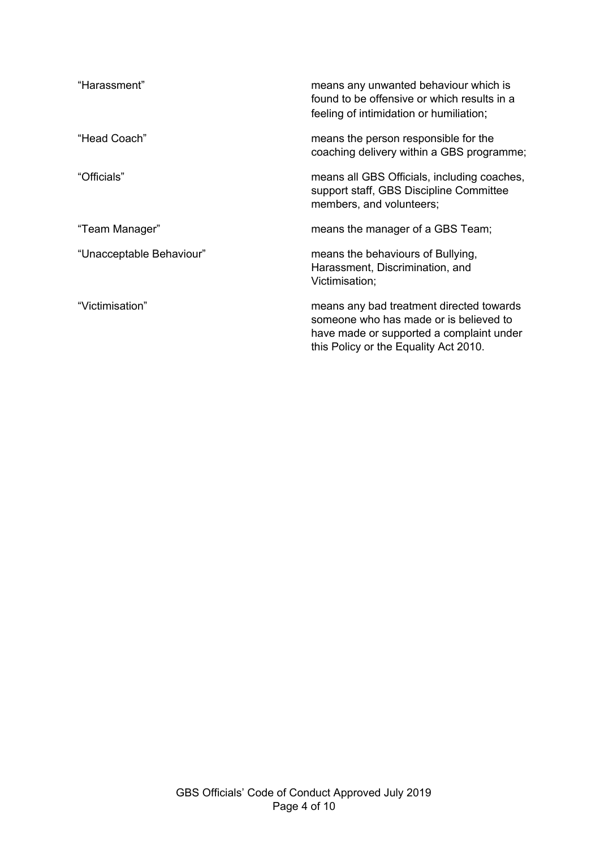| "Harassment"             | means any unwanted behaviour which is<br>found to be offensive or which results in a<br>feeling of intimidation or humiliation; |
|--------------------------|---------------------------------------------------------------------------------------------------------------------------------|
| "Head Coach"             | means the person responsible for the<br>coaching delivery within a GBS programme;                                               |
| "Officials"              | means all GBS Officials, including coaches,<br>support staff, GBS Discipline Committee<br>members, and volunteers;              |
| "Team Manager"           | means the manager of a GBS Team;                                                                                                |
|                          |                                                                                                                                 |
| "Unacceptable Behaviour" | means the behaviours of Bullying,<br>Harassment, Discrimination, and<br>Victimisation;                                          |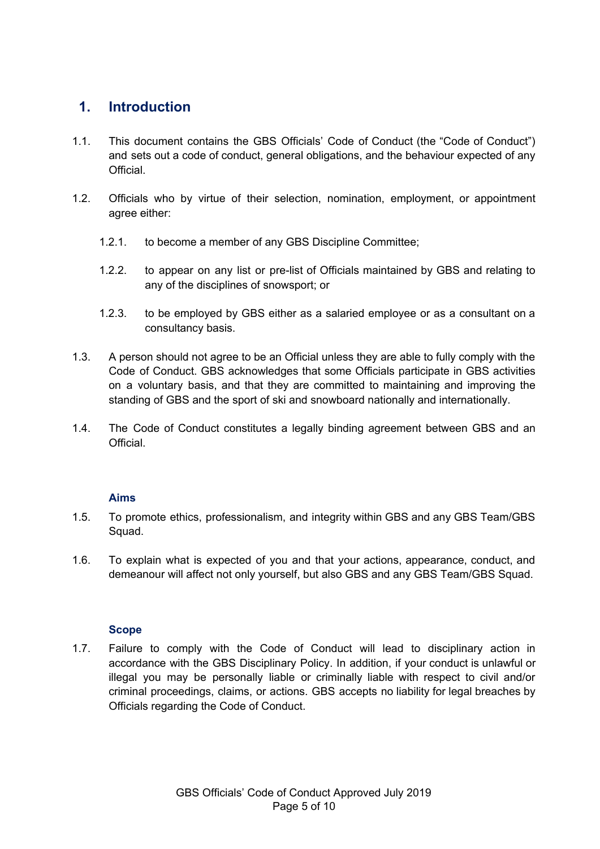## <span id="page-4-0"></span>**1. Introduction**

- 1.1. This document contains the GBS Officials' Code of Conduct (the "Code of Conduct") and sets out a code of conduct, general obligations, and the behaviour expected of any Official.
- 1.2. Officials who by virtue of their selection, nomination, employment, or appointment agree either:
	- 1.2.1. to become a member of any GBS Discipline Committee;
	- 1.2.2. to appear on any list or pre-list of Officials maintained by GBS and relating to any of the disciplines of snowsport; or
	- 1.2.3. to be employed by GBS either as a salaried employee or as a consultant on a consultancy basis.
- 1.3. A person should not agree to be an Official unless they are able to fully comply with the Code of Conduct. GBS acknowledges that some Officials participate in GBS activities on a voluntary basis, and that they are committed to maintaining and improving the standing of GBS and the sport of ski and snowboard nationally and internationally.
- 1.4. The Code of Conduct constitutes a legally binding agreement between GBS and an **Official**

#### **Aims**

- <span id="page-4-1"></span>1.5. To promote ethics, professionalism, and integrity within GBS and any GBS Team/GBS Squad.
- 1.6. To explain what is expected of you and that your actions, appearance, conduct, and demeanour will affect not only yourself, but also GBS and any GBS Team/GBS Squad.

#### **Scope**

<span id="page-4-2"></span>1.7. Failure to comply with the Code of Conduct will lead to disciplinary action in accordance with the GBS Disciplinary Policy. In addition, if your conduct is unlawful or illegal you may be personally liable or criminally liable with respect to civil and/or criminal proceedings, claims, or actions. GBS accepts no liability for legal breaches by Officials regarding the Code of Conduct.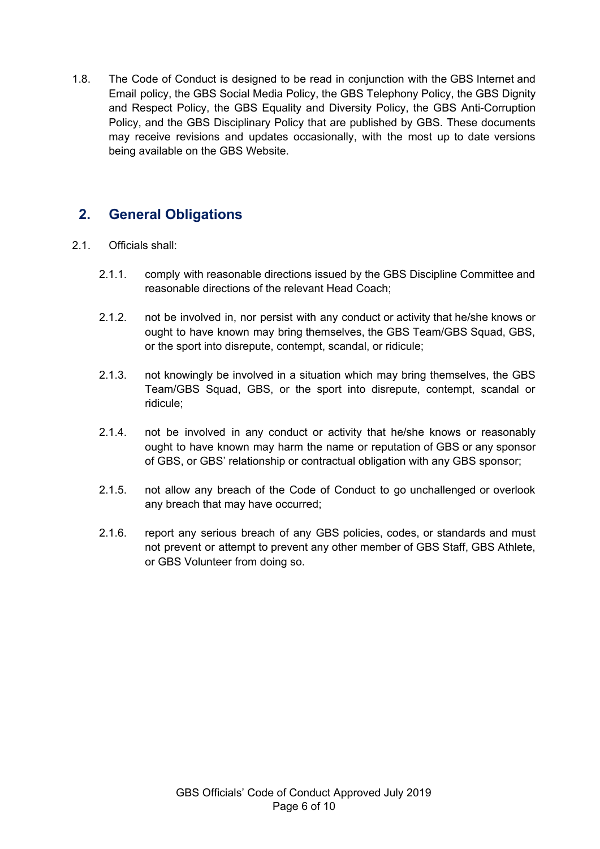1.8. The Code of Conduct is designed to be read in conjunction with the GBS Internet and Email policy, the GBS Social Media Policy, the GBS Telephony Policy, the GBS Dignity and Respect Policy, the GBS Equality and Diversity Policy, the GBS Anti-Corruption Policy, and the GBS Disciplinary Policy that are published by GBS. These documents may receive revisions and updates occasionally, with the most up to date versions being available on the GBS Website.

## <span id="page-5-0"></span>**2. General Obligations**

- 2.1. Officials shall:
	- 2.1.1. comply with reasonable directions issued by the GBS Discipline Committee and reasonable directions of the relevant Head Coach;
	- 2.1.2. not be involved in, nor persist with any conduct or activity that he/she knows or ought to have known may bring themselves, the GBS Team/GBS Squad, GBS, or the sport into disrepute, contempt, scandal, or ridicule;
	- 2.1.3. not knowingly be involved in a situation which may bring themselves, the GBS Team/GBS Squad, GBS, or the sport into disrepute, contempt, scandal or ridicule;
	- 2.1.4. not be involved in any conduct or activity that he/she knows or reasonably ought to have known may harm the name or reputation of GBS or any sponsor of GBS, or GBS' relationship or contractual obligation with any GBS sponsor;
	- 2.1.5. not allow any breach of the Code of Conduct to go unchallenged or overlook any breach that may have occurred;
	- 2.1.6. report any serious breach of any GBS policies, codes, or standards and must not prevent or attempt to prevent any other member of GBS Staff, GBS Athlete, or GBS Volunteer from doing so.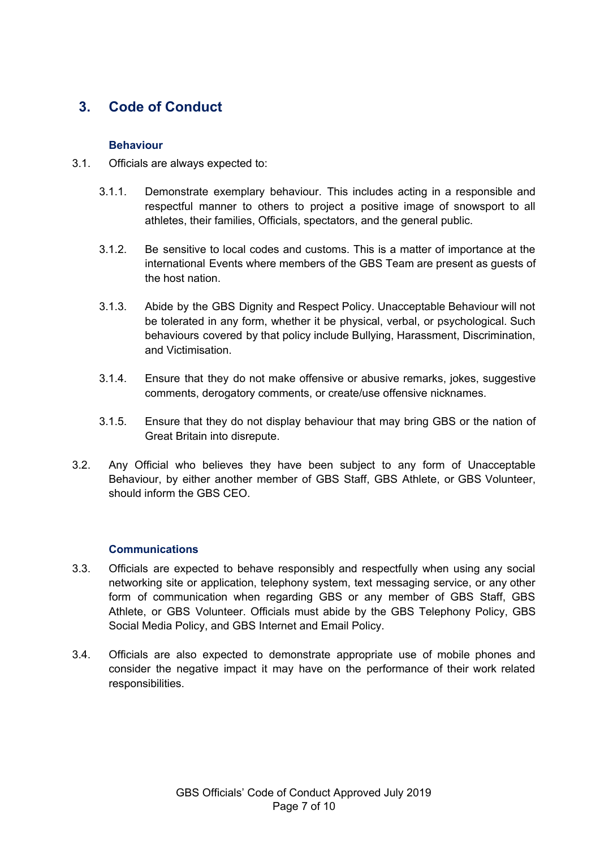# <span id="page-6-1"></span><span id="page-6-0"></span>**3. Code of Conduct**

#### **Behaviour**

- 3.1. Officials are always expected to:
	- 3.1.1. Demonstrate exemplary behaviour. This includes acting in a responsible and respectful manner to others to project a positive image of snowsport to all athletes, their families, Officials, spectators, and the general public.
	- 3.1.2. Be sensitive to local codes and customs. This is a matter of importance at the international Events where members of the GBS Team are present as guests of the host nation.
	- 3.1.3. Abide by the GBS Dignity and Respect Policy. Unacceptable Behaviour will not be tolerated in any form, whether it be physical, verbal, or psychological. Such behaviours covered by that policy include Bullying, Harassment, Discrimination, and Victimisation.
	- 3.1.4. Ensure that they do not make offensive or abusive remarks, jokes, suggestive comments, derogatory comments, or create/use offensive nicknames.
	- 3.1.5. Ensure that they do not display behaviour that may bring GBS or the nation of Great Britain into disrepute.
- 3.2. Any Official who believes they have been subject to any form of Unacceptable Behaviour, by either another member of GBS Staff, GBS Athlete, or GBS Volunteer, should inform the GBS CEO.

#### **Communications**

- <span id="page-6-2"></span>3.3. Officials are expected to behave responsibly and respectfully when using any social networking site or application, telephony system, text messaging service, or any other form of communication when regarding GBS or any member of GBS Staff, GBS Athlete, or GBS Volunteer. Officials must abide by the GBS Telephony Policy, GBS Social Media Policy, and GBS Internet and Email Policy.
- 3.4. Officials are also expected to demonstrate appropriate use of mobile phones and consider the negative impact it may have on the performance of their work related responsibilities.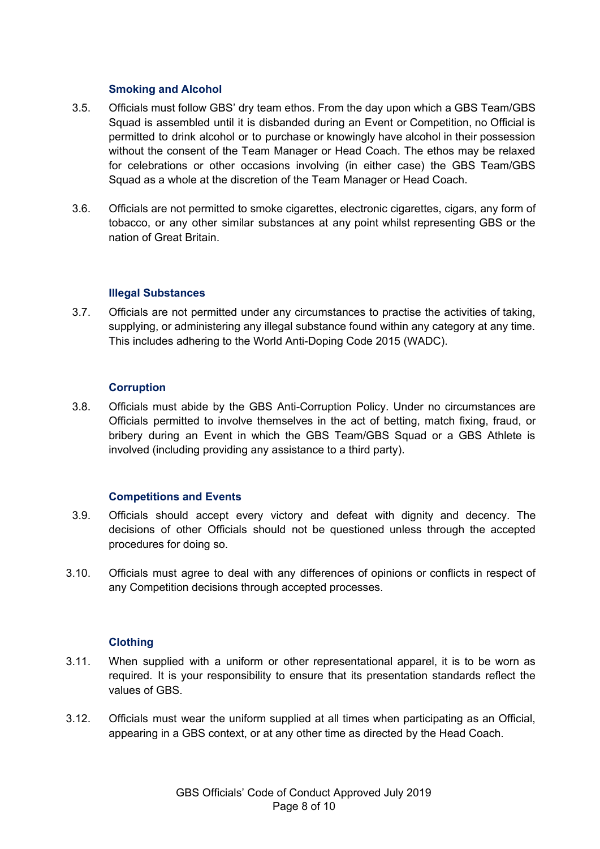#### **Smoking and Alcohol**

- <span id="page-7-0"></span>3.5. Officials must follow GBS' dry team ethos. From the day upon which a GBS Team/GBS Squad is assembled until it is disbanded during an Event or Competition, no Official is permitted to drink alcohol or to purchase or knowingly have alcohol in their possession without the consent of the Team Manager or Head Coach. The ethos may be relaxed for celebrations or other occasions involving (in either case) the GBS Team/GBS Squad as a whole at the discretion of the Team Manager or Head Coach.
- 3.6. Officials are not permitted to smoke cigarettes, electronic cigarettes, cigars, any form of tobacco, or any other similar substances at any point whilst representing GBS or the nation of Great Britain.

#### **Illegal Substances**

<span id="page-7-1"></span>3.7. Officials are not permitted under any circumstances to practise the activities of taking, supplying, or administering any illegal substance found within any category at any time. This includes adhering to the World Anti-Doping Code 2015 (WADC).

#### **Corruption**

<span id="page-7-2"></span>3.8. Officials must abide by the GBS Anti-Corruption Policy. Under no circumstances are Officials permitted to involve themselves in the act of betting, match fixing, fraud, or bribery during an Event in which the GBS Team/GBS Squad or a GBS Athlete is involved (including providing any assistance to a third party).

#### **Competitions and Events**

- <span id="page-7-3"></span>3.9. Officials should accept every victory and defeat with dignity and decency. The decisions of other Officials should not be questioned unless through the accepted procedures for doing so.
- 3.10. Officials must agree to deal with any differences of opinions or conflicts in respect of any Competition decisions through accepted processes.

#### **Clothing**

- <span id="page-7-4"></span>3.11. When supplied with a uniform or other representational apparel, it is to be worn as required. It is your responsibility to ensure that its presentation standards reflect the values of GBS.
- 3.12. Officials must wear the uniform supplied at all times when participating as an Official, appearing in a GBS context, or at any other time as directed by the Head Coach.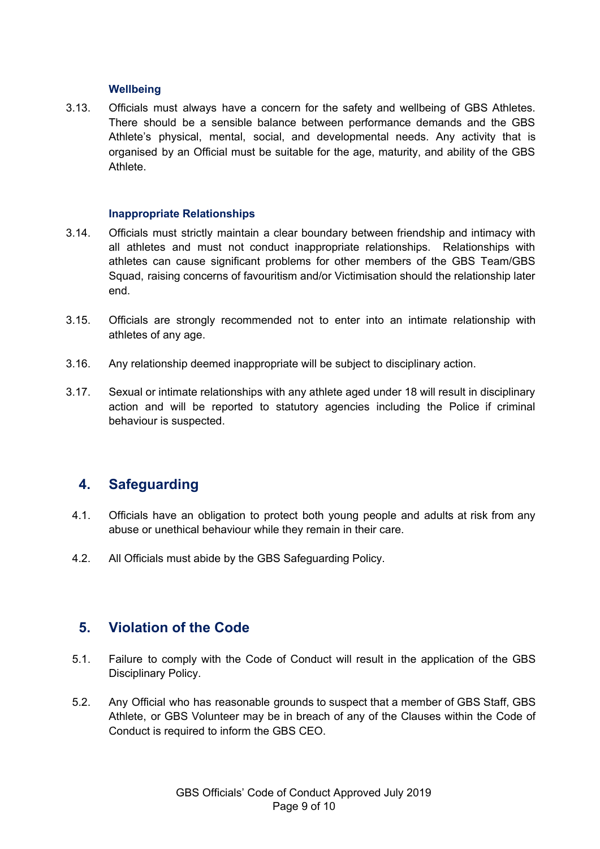#### **Wellbeing**

<span id="page-8-0"></span>3.13. Officials must always have a concern for the safety and wellbeing of GBS Athletes. There should be a sensible balance between performance demands and the GBS Athlete's physical, mental, social, and developmental needs. Any activity that is organised by an Official must be suitable for the age, maturity, and ability of the GBS Athlete.

#### **Inappropriate Relationships**

- <span id="page-8-1"></span>3.14. Officials must strictly maintain a clear boundary between friendship and intimacy with all athletes and must not conduct inappropriate relationships. Relationships with athletes can cause significant problems for other members of the GBS Team/GBS Squad, raising concerns of favouritism and/or Victimisation should the relationship later end.
- 3.15. Officials are strongly recommended not to enter into an intimate relationship with athletes of any age.
- 3.16. Any relationship deemed inappropriate will be subject to disciplinary action.
- 3.17. Sexual or intimate relationships with any athlete aged under 18 will result in disciplinary action and will be reported to statutory agencies including the Police if criminal behaviour is suspected.

### <span id="page-8-2"></span>**4. Safeguarding**

- 4.1. Officials have an obligation to protect both young people and adults at risk from any abuse or unethical behaviour while they remain in their care.
- 4.2. All Officials must abide by the GBS Safeguarding Policy.

### <span id="page-8-3"></span>**5. Violation of the Code**

- 5.1. Failure to comply with the Code of Conduct will result in the application of the GBS Disciplinary Policy.
- 5.2. Any Official who has reasonable grounds to suspect that a member of GBS Staff, GBS Athlete, or GBS Volunteer may be in breach of any of the Clauses within the Code of Conduct is required to inform the GBS CEO.